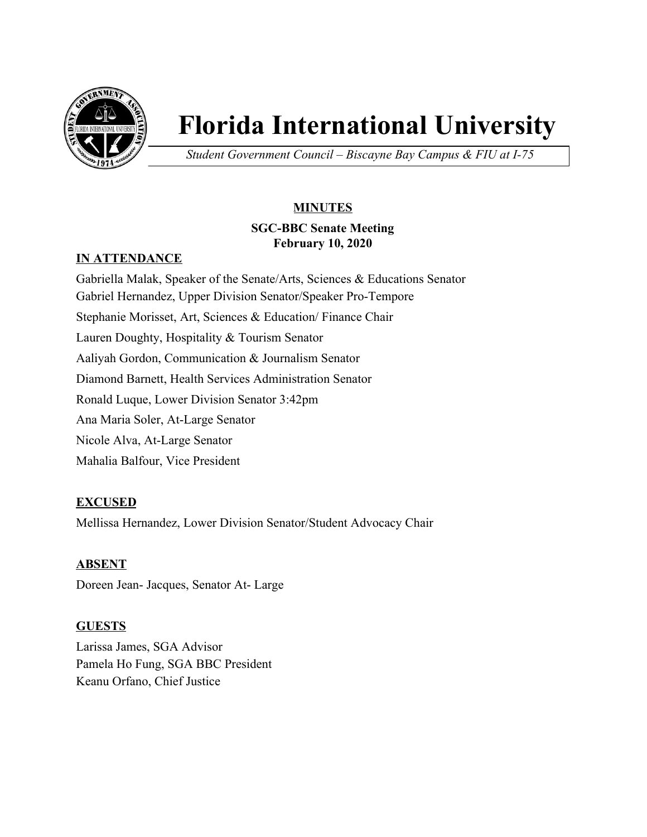

# **Florida International University**

*Student Government Council – Biscayne Bay Campus & FIU at I-75*

# **MINUTES**

# **SGC-BBC Senate Meeting February 10, 2020**

# **IN ATTENDANCE**

Gabriella Malak, Speaker of the Senate/Arts, Sciences & Educations Senator Gabriel Hernandez, Upper Division Senator/Speaker Pro-Tempore Stephanie Morisset, Art, Sciences & Education/ Finance Chair Lauren Doughty, Hospitality & Tourism Senator Aaliyah Gordon, Communication & Journalism Senator Diamond Barnett, Health Services Administration Senator Ronald Luque, Lower Division Senator 3:42pm Ana Maria Soler, At-Large Senator Nicole Alva, At-Large Senator Mahalia Balfour, Vice President

# **EXCUSED**

Mellissa Hernandez, Lower Division Senator/Student Advocacy Chair

## **ABSENT**

Doreen Jean- Jacques, Senator At- Large

## **GUESTS**

Larissa James, SGA Advisor Pamela Ho Fung, SGA BBC President Keanu Orfano, Chief Justice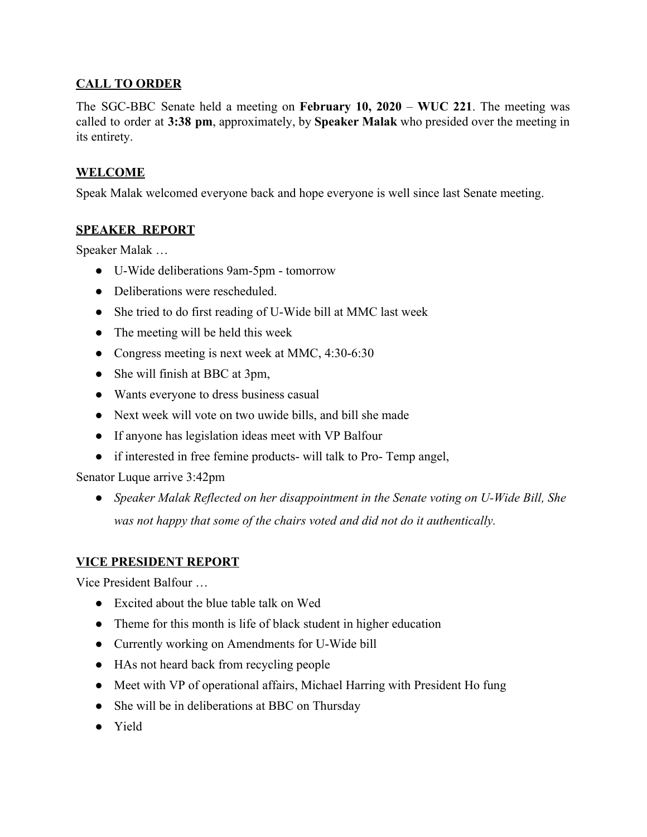## **CALL TO ORDER**

The SGC-BBC Senate held a meeting on **February 10, 2020** – **WUC 221**. The meeting was called to order at **3:38 pm**, approximately, by **Speaker Malak** who presided over the meeting in its entirety.

#### **WELCOME**

Speak Malak welcomed everyone back and hope everyone is well since last Senate meeting.

#### **SPEAKER REPORT**

Speaker Malak …

- U-Wide deliberations 9am-5pm tomorrow
- Deliberations were rescheduled.
- She tried to do first reading of U-Wide bill at MMC last week
- The meeting will be held this week
- Congress meeting is next week at MMC, 4:30-6:30
- She will finish at BBC at 3pm,
- Wants everyone to dress business casual
- Next week will vote on two uwide bills, and bill she made
- If anyone has legislation ideas meet with VP Balfour
- if interested in free femine products- will talk to Pro- Temp angel,

Senator Luque arrive 3:42pm

● *Speaker Malak Reflected on her disappointment in the Senate voting on U-Wide Bill, She was not happy that some of the chairs voted and did not do it authentically.*

#### **VICE PRESIDENT REPORT**

Vice President Balfour …

- Excited about the blue table talk on Wed
- Theme for this month is life of black student in higher education
- Currently working on Amendments for U-Wide bill
- HAs not heard back from recycling people
- Meet with VP of operational affairs, Michael Harring with President Ho fung
- She will be in deliberations at BBC on Thursday
- Yield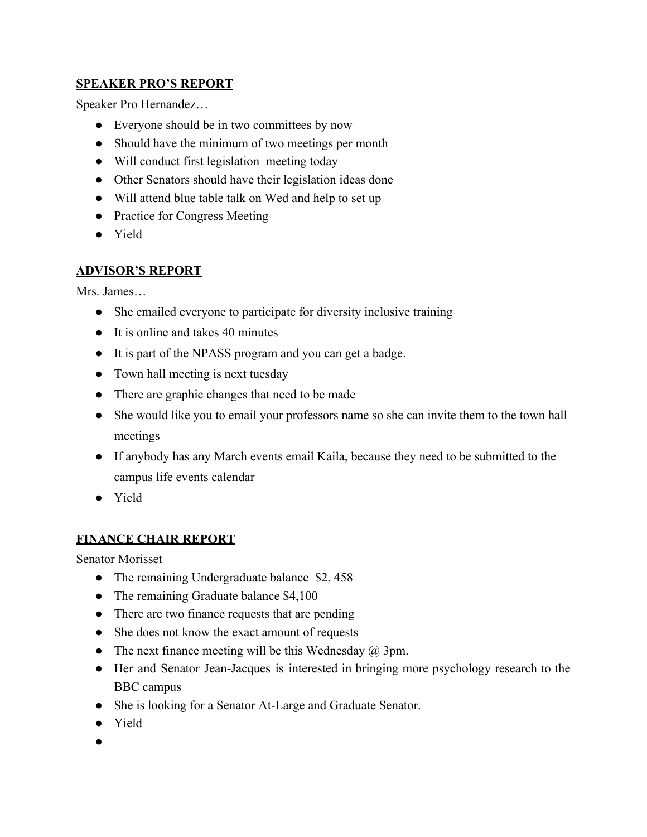## **SPEAKER PRO'S REPORT**

Speaker Pro Hernandez…

- Everyone should be in two committees by now
- Should have the minimum of two meetings per month
- Will conduct first legislation meeting today
- Other Senators should have their legislation ideas done
- Will attend blue table talk on Wed and help to set up
- Practice for Congress Meeting
- Yield

# **ADVISOR'S REPORT**

Mrs. James…

- She emailed everyone to participate for diversity inclusive training
- It is online and takes 40 minutes
- It is part of the NPASS program and you can get a badge.
- Town hall meeting is next tuesday
- There are graphic changes that need to be made
- She would like you to email your professors name so she can invite them to the town hall meetings
- If anybody has any March events email Kaila, because they need to be submitted to the campus life events calendar
- Yield

# **FINANCE CHAIR REPORT**

Senator Morisset

- The remaining Undergraduate balance \$2,458
- The remaining Graduate balance \$4,100
- There are two finance requests that are pending
- She does not know the exact amount of requests
- The next finance meeting will be this Wednesday  $\omega$  3pm.
- Her and Senator Jean-Jacques is interested in bringing more psychology research to the BBC campus
- She is looking for a Senator At-Large and Graduate Senator.
- Yield
- ●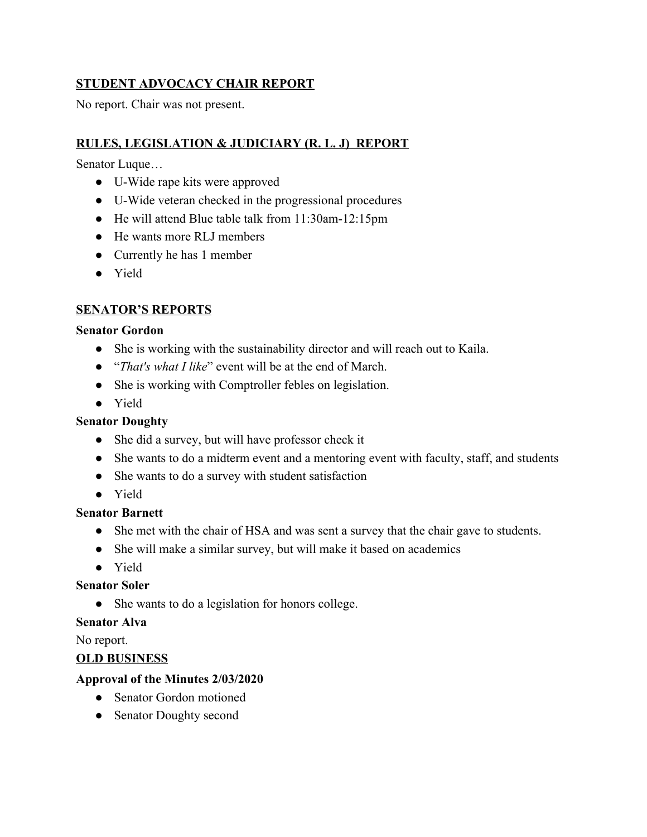## **STUDENT ADVOCACY CHAIR REPORT**

No report. Chair was not present.

## **RULES, LEGISLATION & JUDICIARY (R. L. J) REPORT**

Senator Luque…

- U-Wide rape kits were approved
- U-Wide veteran checked in the progressional procedures
- He will attend Blue table talk from 11:30am-12:15pm
- He wants more RLJ members
- Currently he has 1 member
- Yield

# **SENATOR'S REPORTS**

#### **Senator Gordon**

- She is working with the sustainability director and will reach out to Kaila.
- "*That's what I like*" event will be at the end of March.
- She is working with Comptroller febles on legislation.
- Yield

## **Senator Doughty**

- She did a survey, but will have professor check it
- She wants to do a midterm event and a mentoring event with faculty, staff, and students
- She wants to do a survey with student satisfaction
- Yield

## **Senator Barnett**

- She met with the chair of HSA and was sent a survey that the chair gave to students.
- She will make a similar survey, but will make it based on academics
- Yield

## **Senator Soler**

• She wants to do a legislation for honors college.

## **Senator Alva**

No report.

## **OLD BUSINESS**

## **Approval of the Minutes 2/03/2020**

- Senator Gordon motioned
- Senator Doughty second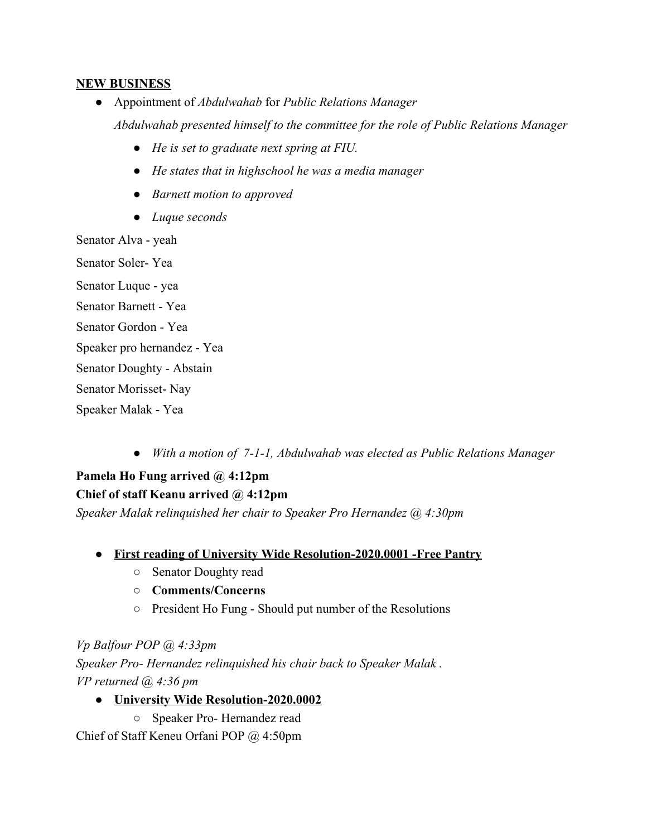#### **NEW BUSINESS**

- Appointment of *Abdulwahab* for *Public Relations Manager Abdulwahab presented himself to the committee for the role of Public Relations Manager*
	- *● He is set to graduate next spring at FIU.*
	- *● He states that in highschool he was a media manager*
	- *● Barnett motion to approved*
	- *● Luque seconds*

Senator Alva - yeah Senator Soler- Yea

Senator Luque - yea Senator Barnett - Yea

Senator Gordon - Yea

Speaker pro hernandez - Yea

Senator Doughty - Abstain

Senator Morisset- Nay

Speaker Malak - Yea

*● With a motion of 7-1-1, Abdulwahab was elected as Public Relations Manager*

**Pamela Ho Fung arrived @ 4:12pm Chief of staff Keanu arrived @ 4:12pm**

*Speaker Malak relinquished her chair to Speaker Pro Hernandez @ 4:30pm*

- **● First reading of University Wide Resolution-2020.0001 -Free Pantry**
	- Senator Doughty read
	- **○ Comments/Concerns**
	- President Ho Fung Should put number of the Resolutions

*Vp Balfour POP @ 4:33pm Speaker Pro- Hernandez relinquished his chair back to Speaker Malak . VP returned @ 4:36 pm*

**● University Wide Resolution-2020.0002**

○ Speaker Pro- Hernandez read

Chief of Staff Keneu Orfani POP @ 4:50pm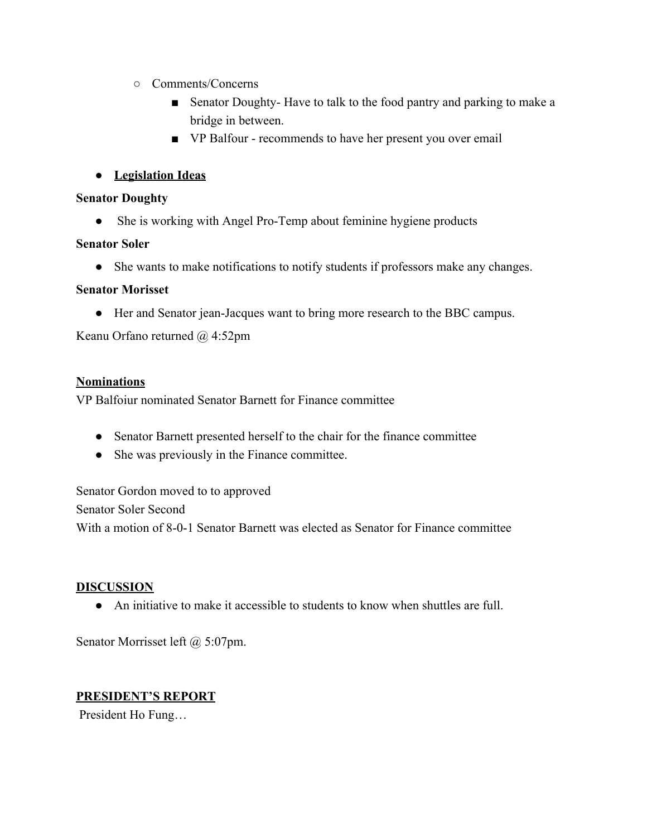- Comments/Concerns
	- Senator Doughty-Have to talk to the food pantry and parking to make a bridge in between.
	- VP Balfour recommends to have her present you over email
- **● Legislation Ideas**

#### **Senator Doughty**

• She is working with Angel Pro-Temp about feminine hygiene products

#### **Senator Soler**

● She wants to make notifications to notify students if professors make any changes.

## **Senator Morisset**

● Her and Senator jean-Jacques want to bring more research to the BBC campus.

Keanu Orfano returned @ 4:52pm

## **Nominations**

VP Balfoiur nominated Senator Barnett for Finance committee

- Senator Barnett presented herself to the chair for the finance committee
- She was previously in the Finance committee.

Senator Gordon moved to to approved Senator Soler Second With a motion of 8-0-1 Senator Barnett was elected as Senator for Finance committee

## **DISCUSSION**

● An initiative to make it accessible to students to know when shuttles are full.

Senator Morrisset left @ 5:07pm.

#### **PRESIDENT'S REPORT**

President Ho Fung…